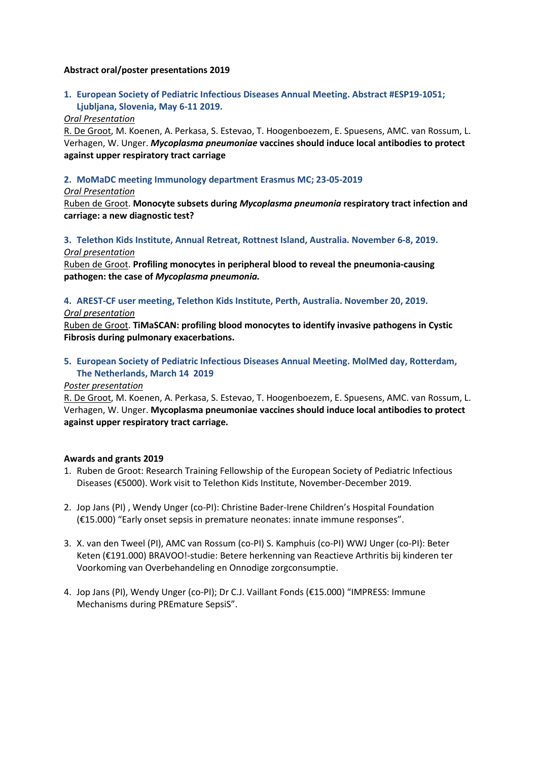#### **Abstract oral/poster presentations 2019**

## **1. European Society of Pediatric Infectious Diseases Annual Meeting. Abstract #ESP19-1051; Ljubljana, Slovenia, May 6-11 2019.**

#### *Oral Presentation*

R. De Groot, M. Koenen, A. Perkasa, S. Estevao, T. Hoogenboezem, E. Spuesens, AMC. van Rossum, L. Verhagen, W. Unger. *Mycoplasma pneumoniae* **vaccines should induce local antibodies to protect against upper respiratory tract carriage**

#### **2. MoMaDC meeting Immunology department Erasmus MC; 23-05-2019**

#### *Oral Presentation*

Ruben de Groot. **Monocyte subsets during** *Mycoplasma pneumonia* **respiratory tract infection and carriage: a new diagnostic test?**

### **3. Telethon Kids Institute, Annual Retreat, Rottnest Island, Australia. November 6-8, 2019.** *Oral presentation*

Ruben de Groot. **Profiling monocytes in peripheral blood to reveal the pneumonia-causing pathogen: the case of** *Mycoplasma pneumonia.*

## **4. AREST-CF user meeting, Telethon Kids Institute, Perth, Australia. November 20, 2019.**

#### *Oral presentation*

Ruben de Groot. **TiMaSCAN: profiling blood monocytes to identify invasive pathogens in Cystic Fibrosis during pulmonary exacerbations.**

## **5. European Society of Pediatric Infectious Diseases Annual Meeting. MolMed day, Rotterdam, The Netherlands, March 14 2019**

#### *Poster presentation*

R. De Groot, M. Koenen, A. Perkasa, S. Estevao, T. Hoogenboezem, E. Spuesens, AMC. van Rossum, L. Verhagen, W. Unger. **Mycoplasma pneumoniae vaccines should induce local antibodies to protect against upper respiratory tract carriage.**

#### **Awards and grants 2019**

- 1. Ruben de Groot: Research Training Fellowship of the European Society of Pediatric Infectious Diseases (€5000). Work visit to Telethon Kids Institute, November-December 2019.
- 2. Jop Jans (PI) , Wendy Unger (co-PI): Christine Bader-Irene Children's Hospital Foundation (€15.000) "Early onset sepsis in premature neonates: innate immune responses".
- 3. X. van den Tweel (PI), AMC van Rossum (co-PI) S. Kamphuis (co-PI) WWJ Unger (co-PI): Beter Keten (€191.000) BRAVOO!-studie: Betere herkenning van Reactieve Arthritis bij kinderen ter Voorkoming van Overbehandeling en Onnodige zorgconsumptie.
- 4. Jop Jans (PI), Wendy Unger (co-PI); Dr C.J. Vaillant Fonds (€15.000) "IMPRESS: Immune Mechanisms during PREmature SepsiS".